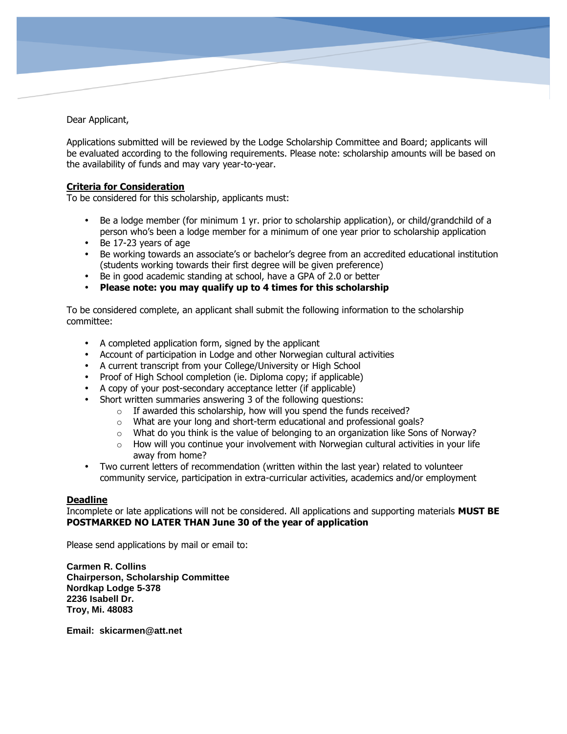Dear Applicant,

Applications submitted will be reviewed by the Lodge Scholarship Committee and Board; applicants will be evaluated according to the following requirements. Please note: scholarship amounts will be based on the availability of funds and may vary year-to-year.

## **Criteria for Consideration**

To be considered for this scholarship, applicants must:

- Be a lodge member (for minimum 1 yr. prior to scholarship application), or child/grandchild of a person who's been a lodge member for a minimum of one year prior to scholarship application
- Be 17-23 years of age
- Be working towards an associate's or bachelor's degree from an accredited educational institution (students working towards their first degree will be given preference)
- Be in good academic standing at school, have a GPA of 2.0 or better
- **Please note: you may qualify up to 4 times for this scholarship**

To be considered complete, an applicant shall submit the following information to the scholarship committee:

- A completed application form, signed by the applicant
- Account of participation in Lodge and other Norwegian cultural activities
- A current transcript from your College/University or High School
- Proof of High School completion (ie. Diploma copy; if applicable)
- A copy of your post-secondary acceptance letter (if applicable)
- Short written summaries answering 3 of the following questions:
	- $\circ$  If awarded this scholarship, how will you spend the funds received?
	- o What are your long and short-term educational and professional goals?
	- $\circ$  What do you think is the value of belonging to an organization like Sons of Norway?
	- $\circ$  How will you continue your involvement with Norwegian cultural activities in your life away from home?
- Two current letters of recommendation (written within the last year) related to volunteer community service, participation in extra-curricular activities, academics and/or employment

## **Deadline**

Incomplete or late applications will not be considered. All applications and supporting materials **MUST BE POSTMARKED NO LATER THAN June 30 of the year of application**

Please send applications by mail or email to:

**Carmen R. Collins Chairperson, Scholarship Committee Nordkap Lodge 5-378 2236 Isabell Dr. Troy, Mi. 48083**

**Email: skicarmen@att.net**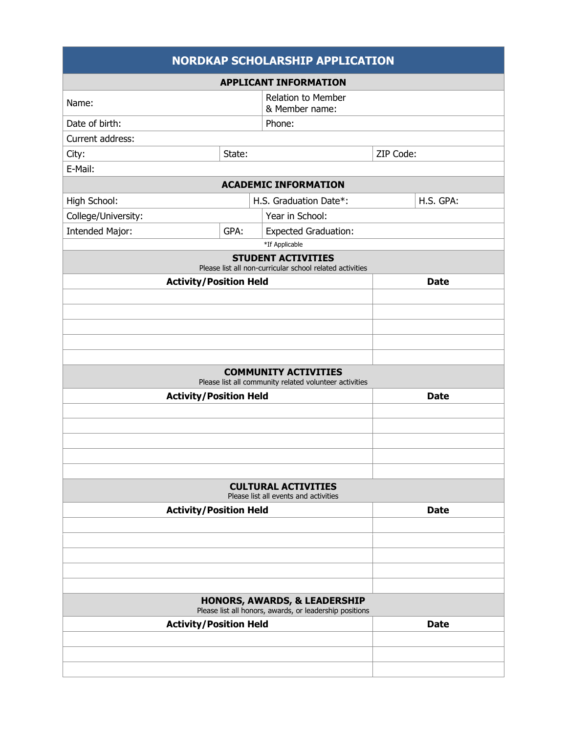|                               |      | <b>NORDKAP SCHOLARSHIP APPLICATION</b>                                                |             |
|-------------------------------|------|---------------------------------------------------------------------------------------|-------------|
|                               |      | <b>APPLICANT INFORMATION</b>                                                          |             |
| Name:                         |      | <b>Relation to Member</b><br>& Member name:                                           |             |
| Date of birth:                |      | Phone:                                                                                |             |
| Current address:              |      |                                                                                       |             |
| State:<br>City:               |      |                                                                                       | ZIP Code:   |
| E-Mail:                       |      |                                                                                       |             |
|                               |      | <b>ACADEMIC INFORMATION</b>                                                           |             |
| High School:                  |      | H.S. Graduation Date*:                                                                | H.S. GPA:   |
| College/University:           |      | Year in School:                                                                       |             |
| <b>Intended Major:</b>        | GPA: | <b>Expected Graduation:</b>                                                           |             |
|                               |      | *If Applicable                                                                        |             |
|                               |      | <b>STUDENT ACTIVITIES</b><br>Please list all non-curricular school related activities |             |
| <b>Activity/Position Held</b> |      |                                                                                       | <b>Date</b> |
|                               |      |                                                                                       |             |
|                               |      |                                                                                       |             |
|                               |      |                                                                                       |             |
|                               |      |                                                                                       |             |
|                               |      |                                                                                       |             |
|                               |      | <b>COMMUNITY ACTIVITIES</b>                                                           |             |
|                               |      |                                                                                       |             |
|                               |      | Please list all community related volunteer activities                                | <b>Date</b> |
| <b>Activity/Position Held</b> |      |                                                                                       |             |
|                               |      |                                                                                       |             |
|                               |      |                                                                                       |             |
|                               |      |                                                                                       |             |
|                               |      |                                                                                       |             |
|                               |      | <b>CULTURAL ACTIVITIES</b><br>Please list all events and activities                   |             |
|                               |      |                                                                                       | <b>Date</b> |
| <b>Activity/Position Held</b> |      |                                                                                       |             |
|                               |      |                                                                                       |             |
|                               |      |                                                                                       |             |
|                               |      |                                                                                       |             |
|                               |      |                                                                                       |             |
|                               |      | <b>HONORS, AWARDS, &amp; LEADERSHIP</b>                                               |             |
|                               |      | Please list all honors, awards, or leadership positions                               |             |
| <b>Activity/Position Held</b> |      |                                                                                       | <b>Date</b> |
|                               |      |                                                                                       |             |